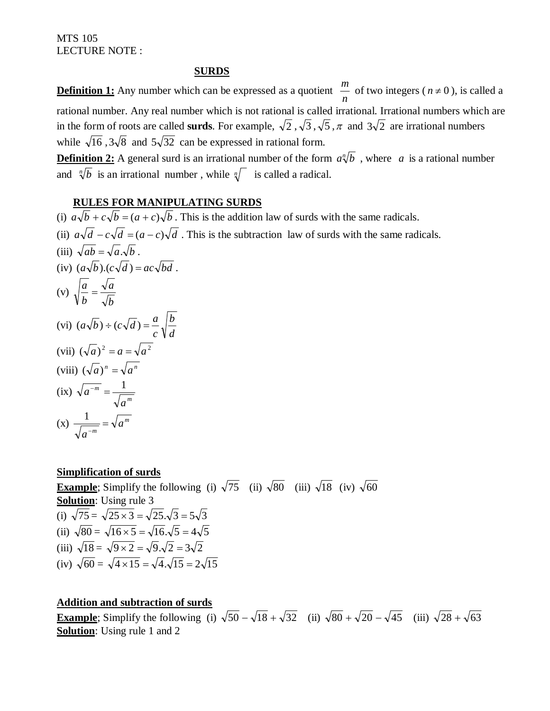#### **SURDS**

**Definition 1:** Any number which can be expressed as a quotient *n*  $\frac{m}{n}$  of two integers ( $n \neq 0$ ), is called a rational number. Any real number which is not rational is called irrational. Irrational numbers which are in the form of roots are called **surds**. For example,  $\sqrt{2}$ ,  $\sqrt{3}$ ,  $\sqrt{5}$ ,  $\pi$  and  $3\sqrt{2}$  are irrational numbers while  $\sqrt{16}$ ,  $3\sqrt{8}$  and  $5\sqrt{32}$  can be expressed in rational form.

**Definition 2:** A general surd is an irrational number of the form  $a \sqrt[n]{b}$ , where *a* is a rational number and  $\sqrt[n]{b}$  is an irrational number, while  $\sqrt[n]{ }$  is called a radical.

#### **RULES FOR MANIPULATING SURDS**

(i)  $\overline{a\sqrt{b} + c\sqrt{b}} = (a+c)\sqrt{b}$ . This is the addition law of surds with the same radicals. (ii)  $a\sqrt{d} - c\sqrt{d} = (a-c)\sqrt{d}$ . This is the subtraction law of surds with the same radicals. (iii)  $\sqrt{ab} = \sqrt{a} \cdot \sqrt{b}$ . (iv)  $(a\sqrt{b})$ . $(c\sqrt{d}) = ac\sqrt{bd}$ . (v) *b a b*  $\frac{a}{a}$  = (vi) *d b c*  $(a\sqrt{b}) \div (c\sqrt{d}) = \frac{a}{b}$ (vii)  $(\sqrt{a})^2 = a = \sqrt{a^2}$ (viii)  $(\sqrt{a})^n = \sqrt{a^n}$  $(\text{ix}) \ \sqrt{a^{-m}} = \frac{1}{\sqrt{a^m}}$ *m a*  $\frac{a^{-m}}{a^{-m}} = \frac{1}{\sqrt{a^2}}$  $f(x) \frac{1}{\sqrt{a^{-m}}} = \sqrt{a^m}$  $\frac{1}{-m}$  = 1

#### **Simplification of surds**

*a*

**Example**; Simplify the following (i)  $\sqrt{75}$  (ii)  $\sqrt{80}$  (iii)  $\sqrt{18}$  (iv)  $\sqrt{60}$ **Solution**: Using rule 3 (i)  $\sqrt{75} = \sqrt{25 \times 3} = \sqrt{25} \cdot \sqrt{3} = 5\sqrt{3}$ (ii)  $\sqrt{80} = \sqrt{16 \times 5} = \sqrt{16} \cdot \sqrt{5} = 4\sqrt{5}$ (iii)  $\sqrt{18} = \sqrt{9 \times 2} = \sqrt{9} \cdot \sqrt{2} = 3\sqrt{2}$ (iv)  $\sqrt{60} = \sqrt{4 \times 15} = \sqrt{4} \cdot \sqrt{15} = 2\sqrt{15}$ 

#### **Addition and subtraction of surds**

**Example**; Simplify the following (i)  $\sqrt{50} - \sqrt{18} + \sqrt{32}$  (ii)  $\sqrt{80} + \sqrt{20} - \sqrt{45}$  (iii)  $\sqrt{28} + \sqrt{63}$ **Solution**: Using rule 1 and 2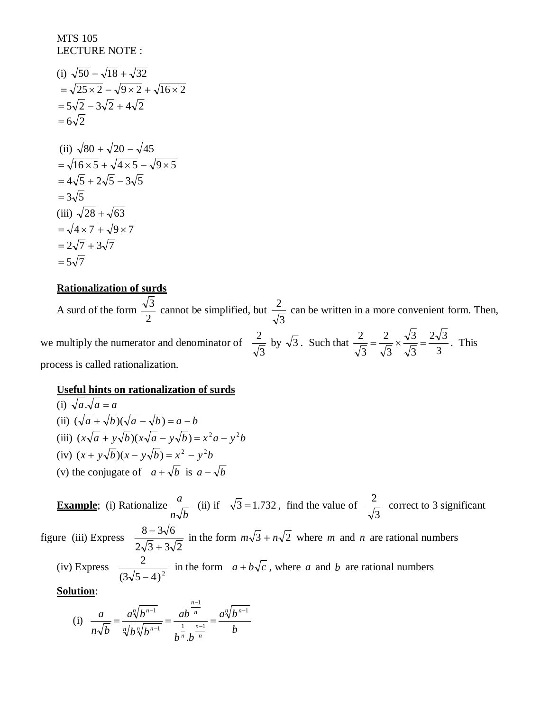(i) 
$$
\sqrt{50} - \sqrt{18} + \sqrt{32}
$$
  
\n $= \sqrt{25 \times 2} - \sqrt{9 \times 2} + \sqrt{16 \times 2}$   
\n $= 5\sqrt{2} - 3\sqrt{2} + 4\sqrt{2}$   
\n $= 6\sqrt{2}$   
\n(ii)  $\sqrt{80} + \sqrt{20} - \sqrt{45}$   
\n $= \sqrt{16 \times 5} + \sqrt{4 \times 5} - \sqrt{9 \times 5}$   
\n $= 4\sqrt{5} + 2\sqrt{5} - 3\sqrt{5}$   
\n $= 3\sqrt{5}$   
\n(iii)  $\sqrt{28} + \sqrt{63}$   
\n $= \sqrt{4 \times 7} + \sqrt{9 \times 7}$   
\n $= 2\sqrt{7} + 3\sqrt{7}$   
\n $= 5\sqrt{7}$ 

#### **Rationalization of surds**

A surd of the form 2  $\frac{3}{2}$  cannot be simplified, but 3  $\frac{2}{\sqrt{2}}$  can be written in a more convenient form. Then, we multiply the numerator and denominator of 3  $\frac{2}{\sqrt{5}}$  by  $\sqrt{3}$ . Such that 3  $2\sqrt{3}$ 3 3 3 2 3  $\frac{2}{\sqrt{2}} = \frac{2}{\sqrt{2}} \times \frac{\sqrt{3}}{\sqrt{2}} = \frac{2\sqrt{3}}{2}$ . This process is called rationalization.

#### **Useful hints on rationalization of surds**

(i)  $\sqrt{a} \sqrt{a} = a$ (ii)  $(\sqrt{a} + \sqrt{b})(\sqrt{a} - \sqrt{b}) = a - b$ (iii)  $(x\sqrt{a} + y\sqrt{b})(x\sqrt{a} - y\sqrt{b}) = x^2 a - y^2 b$  $(iv) (x + y\sqrt{b})(x - y\sqrt{b}) = x^2 - y^2b$ (v) the conjugate of  $a + \sqrt{b}$  is  $a - \sqrt{b}$ 

**Example**; (i) Rationalize  $n\sqrt{b}$  $\frac{a}{\sqrt{2}}$  (ii) if  $\sqrt{3} = 1.732$ , find the value of 3  $\frac{2}{\sqrt{2}}$  correct to 3 significant figure (iii) Express  $2\sqrt{3} + 3\sqrt{2}$  $8 - 3\sqrt{6}$  $^{+}$  $\frac{1-3\sqrt{6}}{2}$  in the form  $m\sqrt{3} + n\sqrt{2}$  where *m* and *n* are rational numbers (iv) Express  $\frac{2}{(3\sqrt{5}-4)^2}$ 2 <sup>-</sup> in the form  $a + b\sqrt{c}$ , where *a* and *b* are rational numbers

#### **Solution**:

(i) 
$$
\frac{a}{n\sqrt{b}} = \frac{a\sqrt[n]{b^{n-1}}}{\sqrt[n]{b}\sqrt[n]{b^{n-1}}} = \frac{ab^{\frac{n-1}{n}}}{b^{\frac{1}{n}} \cdot b^{\frac{n-1}{n}}} = \frac{a\sqrt[n]{b^{n-1}}}{b}
$$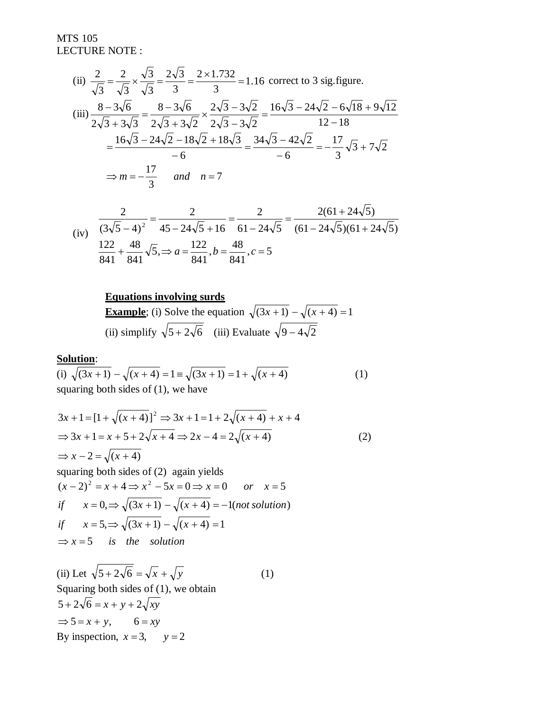(ii) 
$$
\frac{2}{\sqrt{3}} = \frac{2}{\sqrt{3}} \times \frac{\sqrt{3}}{\sqrt{3}} = \frac{2\sqrt{3}}{3} = \frac{2 \times 1.732}{3} = 1.16 \text{ correct to 3 sig. figure.}
$$
  
\n(iii) 
$$
\frac{8 - 3\sqrt{6}}{2\sqrt{3} + 3\sqrt{3}} = \frac{8 - 3\sqrt{6}}{2\sqrt{3} + 3\sqrt{2}} \times \frac{2\sqrt{3} - 3\sqrt{2}}{2\sqrt{3} - 3\sqrt{2}} = \frac{16\sqrt{3} - 24\sqrt{2} - 6\sqrt{18} + 9\sqrt{12}}{12 - 18} = \frac{16\sqrt{3} - 24\sqrt{2} - 18\sqrt{2} + 18\sqrt{3}}{-6} = \frac{34\sqrt{3} - 42\sqrt{2}}{-6} = -\frac{17}{3}\sqrt{3} + 7\sqrt{2}
$$
  
\n
$$
\Rightarrow m = -\frac{17}{3} \quad and \quad n = 7
$$

(iv) 
$$
\frac{2}{(3\sqrt{5}-4)^2} = \frac{2}{45-24\sqrt{5}+16} = \frac{2}{61-24\sqrt{5}} = \frac{2(61+24\sqrt{5})}{(61-24\sqrt{5})(61+24\sqrt{5})}
$$

$$
\frac{122}{841} + \frac{48}{841}\sqrt{5}, \Rightarrow a = \frac{122}{841}, b = \frac{48}{841}, c = 5
$$

# **Equations involving surds**

**Example**; (i) Solve the equation  $\sqrt{(3x+1)} - \sqrt{(x+4)} = 1$ (ii) simplify  $\sqrt{5 + 2\sqrt{6}}$  (iii) Evaluate  $\sqrt{9 - 4\sqrt{2}}$ 

## **Solution**:

(i) 
$$
\sqrt{(3x+1)} - \sqrt{(x+4)} = 1 \equiv \sqrt{(3x+1)} = 1 + \sqrt{(x+4)}
$$
 (1)  
squaring both sides of (1), we have

$$
3x + 1 = [1 + \sqrt{(x+4)}]^2 \Rightarrow 3x + 1 = 1 + 2\sqrt{(x+4)} + x + 4
$$
  
\n
$$
\Rightarrow 3x + 1 = x + 5 + 2\sqrt{x+4} \Rightarrow 2x - 4 = 2\sqrt{(x+4)}
$$
  
\n
$$
\Rightarrow x - 2 = \sqrt{(x+4)}
$$
  
\nsquaring both sides of (2) again yields

$$
(x-2)^2 = x+4 \Rightarrow x^2 - 5x = 0 \Rightarrow x = 0 \quad or \quad x = 5
$$
  
if  $x = 0, \Rightarrow \sqrt{3x+1} - \sqrt{x+4} = -1$ (not solution)  
if  $x = 5, \Rightarrow \sqrt{3x+1} - \sqrt{x+4} = 1$   
 $\Rightarrow x = 5 \quad \text{is the solution}$ 

(ii) Let  $\sqrt{5 + 2\sqrt{6}} = \sqrt{x} + \sqrt{y}$  (1) Squaring both sides of  $(1)$ , we obtain  $\Rightarrow$  5 = x + y, 6 = xy  $5 + 2\sqrt{6} = x + y + 2\sqrt{xy}$ By inspection,  $x = 3$ ,  $y = 2$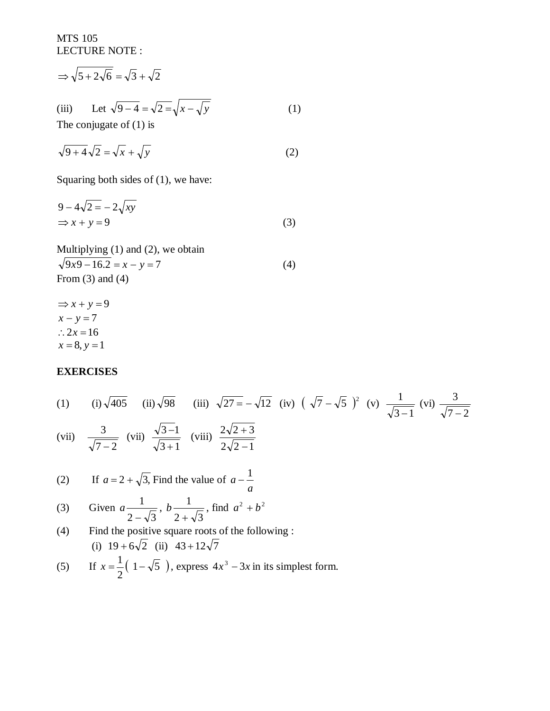$$
\Rightarrow \sqrt{5 + 2\sqrt{6}} = \sqrt{3} + \sqrt{2}
$$
  
(iii) Let  $\sqrt{9 - 4} = \sqrt{2} = \sqrt{x - \sqrt{y}}$   
The conjugate of (1) is (1)

$$
\sqrt{9+4}\sqrt{2} = \sqrt{x} + \sqrt{y}
$$
 (2)

Squaring both sides of (1), we have:

$$
9 - 4\sqrt{2} = -2\sqrt{xy}
$$
  

$$
\Rightarrow x + y = 9
$$
 (3)

Multiplying (1) and (2), we obtain  $\sqrt{9x^9 - 16.2} = x - y = 7$  (4) From  $(3)$  and  $(4)$ 

 $\Rightarrow$  *x* + *y* = 9  $x - y = 7$  $\therefore$  2*x* = 16  $x = 8, y = 1$ 

#### **EXERCISES**

(1) (i) 
$$
\sqrt{405}
$$
 (ii)  $\sqrt{98}$  (iii)  $\sqrt{27} = -\sqrt{12}$  (iv)  $(\sqrt{7} - \sqrt{5})^2$  (v)  $\frac{1}{\sqrt{3}-1}$  (vi)  $\frac{3}{\sqrt{7}-2}$   
\n(vii)  $\frac{3}{\sqrt{7}-2}$  (vii)  $\frac{\sqrt{3}-1}{\sqrt{3}+1}$  (viii)  $\frac{2\sqrt{2}+3}{2\sqrt{2}-1}$   
\n(2) If  $a = 2 + \sqrt{3}$ , Find the value of  $a - \frac{1}{a}$   
\n(3) Given  $a \frac{1}{2-\sqrt{3}}, b \frac{1}{2+\sqrt{3}},$  find  $a^2 + b^2$   
\n(4) Find the positive square roots of the following:  
\n(i)  $19 + 6\sqrt{2}$  (ii)  $43 + 12\sqrt{7}$ 

(5) If 
$$
x = \frac{1}{2}(1 - \sqrt{5})
$$
, express  $4x^3 - 3x$  in its simplest form.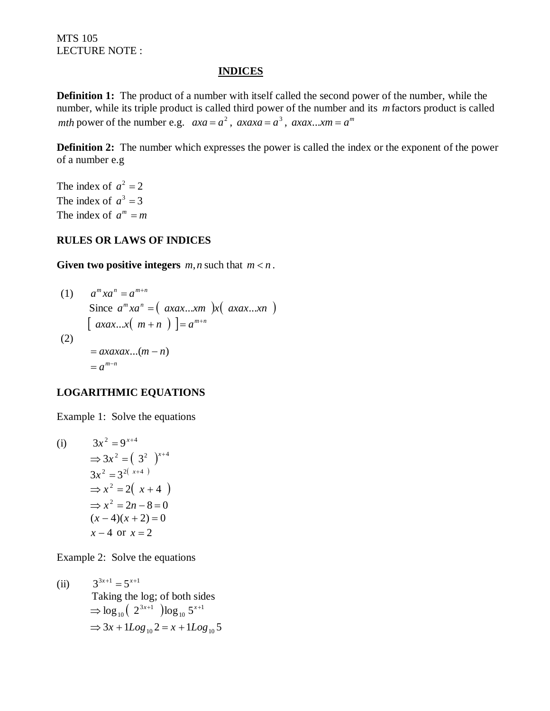#### **INDICES**

**Definition 1:** The product of a number with itself called the second power of the number, while the number, while its triple product is called third power of the number and its *m*factors product is called *mth* power of the number e.g.  $axa = a^2$ ,  $axaxa = a^3$ ,  $axax...$ *xm* =  $a^m$ 

**Definition 2:** The number which expresses the power is called the index or the exponent of the power of a number e.g

The index of  $a^2 = 2$ The index of  $a^3 = 3$ The index of  $a^m = m$ 

## **RULES OR LAWS OF INDICES**

**Given two positive integers**  $m, n$  such that  $m < n$ .

(1) 
$$
a^{m}xa^{n} = a^{m+n}
$$
  
Since  $a^{m}xa^{n} = (axax...xm)x(axax...xn)$   

$$
[axax...x(m+n)] = a^{m+n}
$$
  
(2)  

$$
= axaxax...(m-n)
$$
  

$$
= a^{m-n}
$$

## **LOGARITHMIC EQUATIONS**

Example 1: Solve the equations

(i) 
$$
3x^2 = 9^{x+4}
$$
  
\n $\Rightarrow 3x^2 = (3^2)^{x+4}$   
\n $3x^2 = 3^{2(x+4)}$   
\n $\Rightarrow x^2 = 2(x+4)$   
\n $\Rightarrow x^2 = 2n - 8 = 0$   
\n $(x-4)(x+2) = 0$   
\n $x - 4$  or  $x = 2$ 

Example 2: Solve the equations

(ii)  $3^{3x+1} = 5^{x+1}$  Taking the log; of both sides  $(2^{3x+1})\log_{10} 5^{x+1}$ 10  $\Rightarrow$  log  $_{10}$  (2<sup>3x+1</sup> )log  $_{10}$  5<sup>x+</sup>  $\Rightarrow$  3x + 1*Log*<sub>10</sub> 2 = x + 1*Log*<sub>10</sub> 5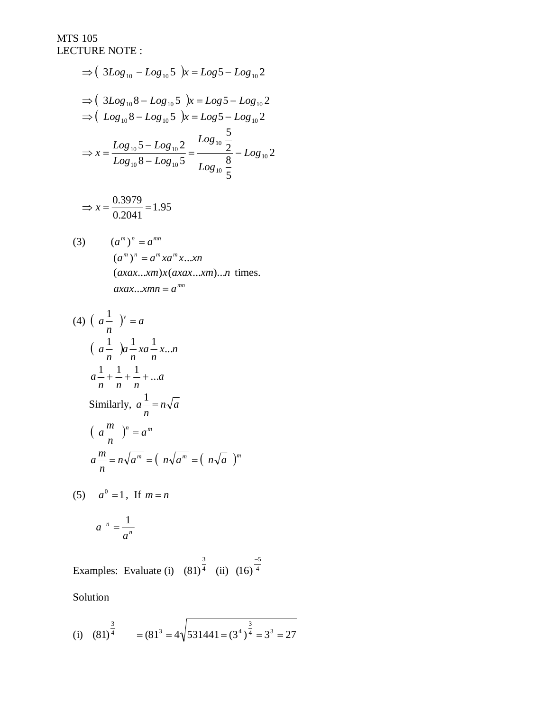$$
\Rightarrow (3Log_{10} - Log_{10}5) x = Log 5 - Log_{10}2
$$
  
\n
$$
\Rightarrow (3Log_{10}8 - Log_{10}5) x = Log 5 - Log_{10}2
$$
  
\n
$$
\Rightarrow (Log_{10}8 - Log_{10}5) x = Log 5 - Log_{10}2
$$
  
\n
$$
\Rightarrow x = \frac{Log_{10}5 - Log_{10}2}{Log_{10}8 - Log_{10}5} = \frac{Log_{10}5}{Log_{10}8} - Log_{10}2
$$

$$
\Rightarrow x = \frac{0.3979}{0.2041} = 1.95
$$

(3) 
$$
(am)n = amn
$$

$$
(am)n = am x am x... x n
$$

$$
(axax...xm)x(axax...xm)...n \text{ times.}
$$

$$
axax...xmn = amn
$$

$$
(4) \left(a - \frac{1}{n}\right)^{v} = a
$$
\n
$$
\left(a - \frac{1}{n}\right)a - xa - xa, \quad n
$$
\n
$$
a - \frac{1}{n} + \frac{1}{n} + \frac{1}{n} + \dots a
$$
\nSimilarly,  $a - \frac{1}{n} = n\sqrt{a}$ \n
$$
\left(a - \frac{m}{n}\right)^{n} = a^{m}
$$
\n
$$
a - \frac{m}{n} = n\sqrt{a^{m}} = \left(n\sqrt{a^{m}} - \left(n\sqrt{a}\right)^{m}\right)
$$

(5)  $a^0 = 1$ , If  $m = n$ 

$$
a^{-n} = \frac{1}{a^n}
$$

Examples: Evaluate (i)  $(81)^4$ 3  $(81)^4$  (ii)  $(16)^4$ 5 (16)  $\overline{\phantom{0}}$ 

Solution

(i) 
$$
(81)^{\frac{3}{4}}
$$
 =  $(81^3 = 4\sqrt{531441 = (3^4)^{\frac{3}{4}}} = 3^3 = 27$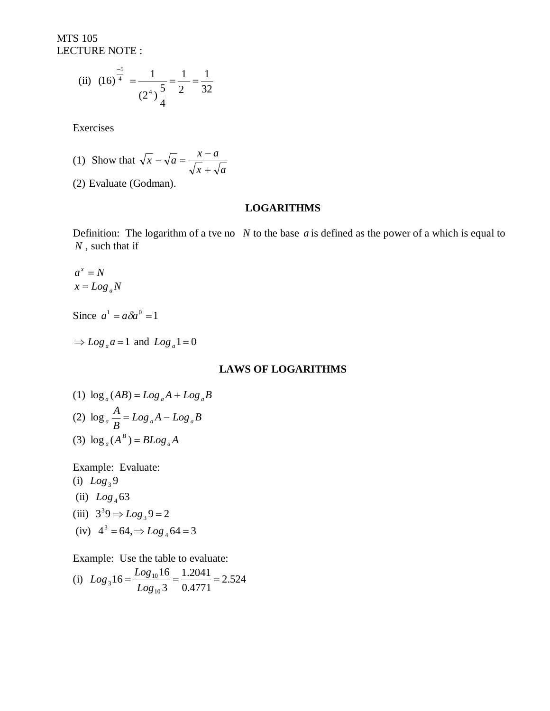(ii) 
$$
(16)^{\frac{-5}{4}} = \frac{1}{(2^4)\frac{5}{4}} = \frac{1}{2} = \frac{1}{32}
$$

Exercises

(1) Show that 
$$
\sqrt{x} - \sqrt{a} = \frac{x - a}{\sqrt{x} + \sqrt{a}}
$$

(2) Evaluate (Godman).

## **LOGARITHMS**

Definition: The logarithm of a tve no *N* to the base *a* is defined as the power of a which is equal to *N* , such that if

$$
a^x = N
$$
  

$$
x = Log_a N
$$

Since  $a^1 = a\delta a^0 = 1$ 

 $\Rightarrow$  *Log<sub>a</sub>* $a = 1$  and *Log<sub>a</sub>* $1 = 0$ 

#### **LAWS OF LOGARITHMS**

(1) 
$$
\log_a (AB) = Log_a A + Log_a B
$$
  
\n(2)  $\log_a \frac{A}{B} = Log_a A - Log_a B$   
\n(3)  $\log_a (A^B) = BLog_a A$ 

Example: Evaluate: (i)  $Log_3 9$ (ii)  $Log_4 63$ (iii)  $3^3 9 \Rightarrow Log_3 9 = 2$  $(iv)$  4<sup>3</sup> = 64,  $\Rightarrow$   $Log_4$  64 = 3

Example: Use the table to evaluate:

(i) 
$$
Log_3 16 = \frac{Log_{10}16}{Log_{10}3} = \frac{1.2041}{0.4771} = 2.524
$$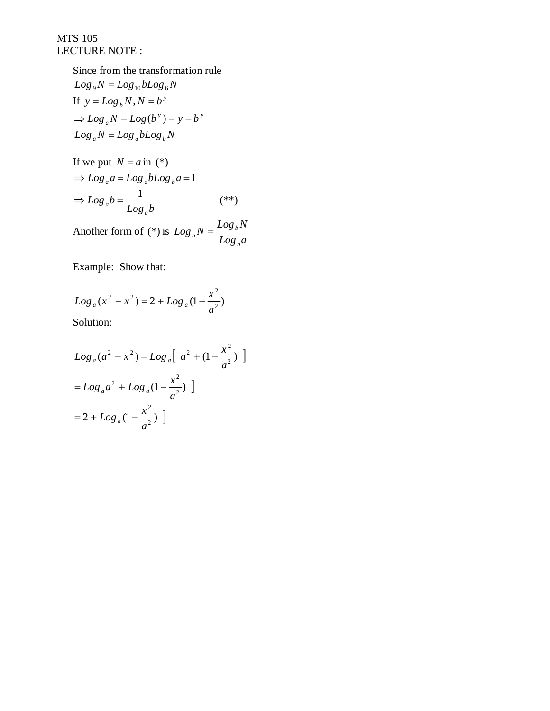> Since from the transformation rule  $Log_{9}N = Log_{10}bLog_{6}N$ If  $y = Log_b N$ ,  $N = b^y$  $\Rightarrow$   $Log_a N = Log(b^y) = y = b^y$  $Log_a N = Log_a b Log_b N$

If we put 
$$
N = a
$$
 in (\*)  
\n
$$
\Rightarrow Log_a a = Log_a b Log_b a = 1
$$
\n
$$
\Rightarrow Log_a b = \frac{1}{Log_a b}
$$
 (\*)

Another form of (\*) is *Log a*  $Log_a N = \frac{Log_b N}{I}$ *b*  $_{a}N=\frac{Lv_{\delta b}}{L}$ 

Example: Show that:

$$
Log_a(x^2 - x^2) = 2 + Log_a(1 - \frac{x^2}{a^2})
$$

Solution:

$$
Log_a(a^2 - x^2) = Log_a[a^2 + (1 - \frac{x^2}{a^2})]
$$
  
=  $Log_a a^2 + Log_a (1 - \frac{x^2}{a^2})$ ]  
=  $2 + Log_a (1 - \frac{x^2}{a^2})$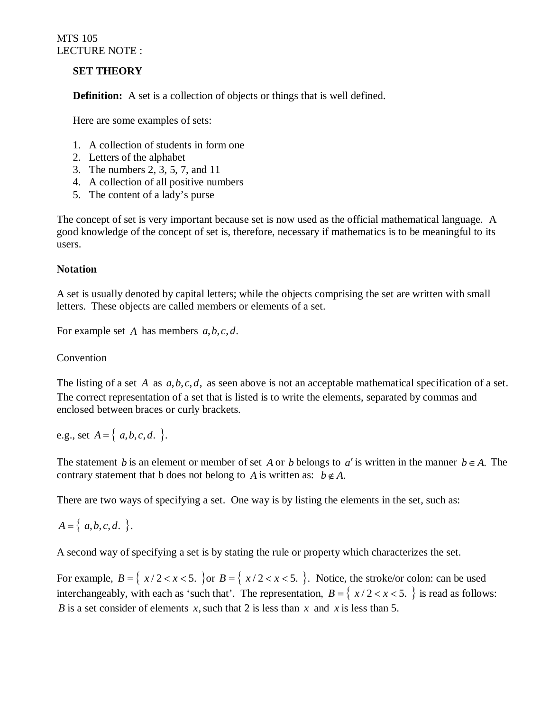## **SET THEORY**

**Definition:** A set is a collection of objects or things that is well defined.

Here are some examples of sets:

- 1. A collection of students in form one
- 2. Letters of the alphabet
- 3. The numbers 2, 3, 5, 7, and 11
- 4. A collection of all positive numbers
- 5. The content of a lady's purse

The concept of set is very important because set is now used as the official mathematical language. A good knowledge of the concept of set is, therefore, necessary if mathematics is to be meaningful to its users.

## **Notation**

A set is usually denoted by capital letters; while the objects comprising the set are written with small letters. These objects are called members or elements of a set.

For example set *A* has members *a*,*b*,*c*, *d*.

## Convention

The listing of a set *A* as *a*,*b*,*c*, *d*, as seen above is not an acceptable mathematical specification of a set. The correct representation of a set that is listed is to write the elements, separated by commas and enclosed between braces or curly brackets.

e.g., set  $A = \{a, b, c, d\}$ .

The statement *b* is an element or member of set *A* or *b* belongs to *a'* is written in the manner  $b \in A$ . The contrary statement that b does not belong to A is written as:  $b \notin A$ .

There are two ways of specifying a set. One way is by listing the elements in the set, such as:

 $A = \{a,b,c,d.\}$ .

A second way of specifying a set is by stating the rule or property which characterizes the set.

For example,  $B = \{ x/2 < x < 5$ .  $\}$  or  $B = \{ x/2 < x < 5$ .  $\}$ . Notice, the stroke/or colon: can be used interchangeably, with each as 'such that'. The representation,  $B = \{ x/2 < x < 5$ .  $\}$  is read as follows: *B* is a set consider of elements *x*, such that 2 is less than *x* and *x* is less than 5.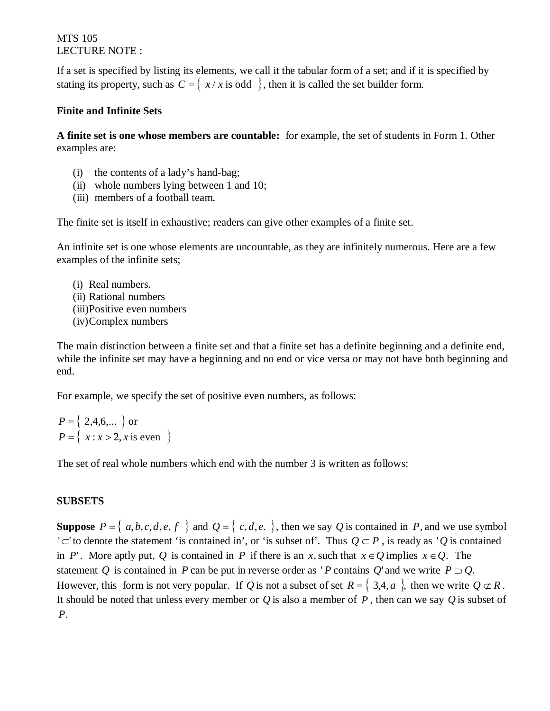If a set is specified by listing its elements, we call it the tabular form of a set; and if it is specified by stating its property, such as  $C = \{ x / x \text{ is odd } \}$ , then it is called the set builder form.

## **Finite and Infinite Sets**

**A finite set is one whose members are countable:** for example, the set of students in Form 1. Other examples are:

- (i) the contents of a lady's hand-bag;
- (ii) whole numbers lying between 1 and 10;
- (iii) members of a football team.

The finite set is itself in exhaustive; readers can give other examples of a finite set.

An infinite set is one whose elements are uncountable, as they are infinitely numerous. Here are a few examples of the infinite sets;

(i) Real numbers. (ii) Rational numbers (iii)Positive even numbers (iv)Complex numbers

The main distinction between a finite set and that a finite set has a definite beginning and a definite end, while the infinite set may have a beginning and no end or vice versa or may not have both beginning and end.

For example, we specify the set of positive even numbers, as follows:

$$
P = \{ 2, 4, 6, \dots \} \text{ or}
$$
  

$$
P = \{ x : x > 2, x \text{ is even } \}
$$

The set of real whole numbers which end with the number 3 is written as follows:

## **SUBSETS**

**Suppose**  $P = \{a,b,c,d,e,f\}$  and  $Q = \{c,d,e.\}$ , then we say *Q* is contained in *P*, and we use symbol ' $\subset$ ' to denote the statement 'is contained in', or 'is subset of'. Thus  $Q \subset P$ , is ready as '*Q* is contained in *P*'. More aptly put, *Q* is contained in *P* if there is an *x*, such that  $x \in Q$  implies  $x \in Q$ . The statement Q is contained in P can be put in reverse order as 'P contains Q' and we write  $P \supset Q$ . However, this form is not very popular. If *Q* is not a subset of set  $R = \{3, 4, a\}$ , then we write  $Q \subset R$ . It should be noted that unless every member or *Q* is also a member of *P* , then can we say *Q* is subset of *P*.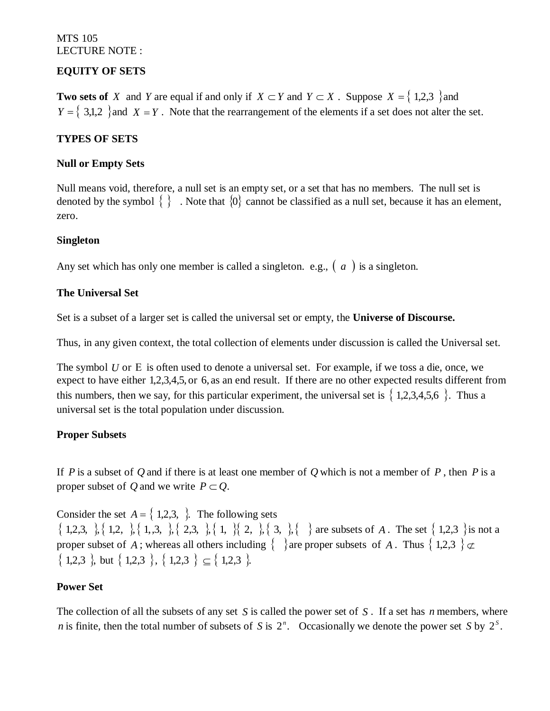## **EQUITY OF SETS**

**Two sets of** *X* and *Y* are equal if and only if  $X \subset Y$  and  $Y \subset X$ . Suppose  $X = \{1,2,3\}$  and  $Y = \{3,1,2\}$  and  $X = Y$ . Note that the rearrangement of the elements if a set does not alter the set.

## **TYPES OF SETS**

### **Null or Empty Sets**

Null means void, therefore, a null set is an empty set, or a set that has no members. The null set is denoted by the symbol  $\{\}$ . Note that  $\{0\}$  cannot be classified as a null set, because it has an element, zero.

#### **Singleton**

Any set which has only one member is called a singleton. e.g.,  $\left( a \right)$  is a singleton.

## **The Universal Set**

Set is a subset of a larger set is called the universal set or empty, the **Universe of Discourse.**

Thus, in any given context, the total collection of elements under discussion is called the Universal set.

The symbol  $U$  or  $E$  is often used to denote a universal set. For example, if we toss a die, once, we expect to have either 1,2,3,4,5, or 6, as an end result. If there are no other expected results different from this numbers, then we say, for this particular experiment, the universal set is  $\{1,2,3,4,5,6\}$ . Thus a universal set is the total population under discussion.

#### **Proper Subsets**

If *P* is a subset of *Q* and if there is at least one member of *Q* which is not a member of *P* , then *P* is a proper subset of *Q* and we write  $P \subset Q$ .

Consider the set  $A = \{1,2,3, \}$ . The following sets  $\{1,2,3, \}$ ,  $\{1,2, \}$ ,  $\{1,3, \}$ ,  $\{2,3, \}$ ,  $\{1, \}$ ,  $\{2, 3, \}$ ,  $\{3, \}$ ,  $\{3, \}$ ,  $\{4, \}$  are subsets of *A*. The set  $\{1,2,3\}$  is not a proper subset of *A*; whereas all others including  $\{\}$  are proper subsets of *A*. Thus  $\{1,2,3\} \not\subset$  $\{ 1,2,3 \}$ , but  $\{ 1,2,3 \}$ ,  $\{ 1,2,3 \}$   $\subseteq$   $\{ 1,2,3 \}$ .

#### **Power Set**

The collection of all the subsets of any set *S* is called the power set of *S* . If a set has *n* members, where *n* is finite, then the total number of subsets of *S* is  $2^n$ . Occasionally we denote the power set *S* by  $2^s$ .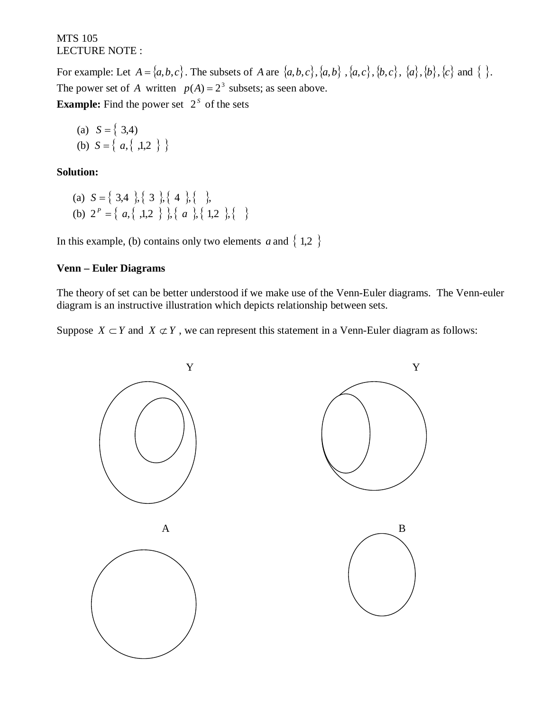For example: Let  $A = \{a,b,c\}$ . The subsets of *A* are  $\{a,b,c\}$ ,  $\{a,b\}$ ,  $\{a,c\}$ ,  $\{b,c\}$ ,  $\{a\}$ ,  $\{b\}$ ,  $\{c\}$  and  $\{\}$ . The power set of *A* written  $p(A) = 2^3$  subsets; as seen above. **Example:** Find the power set  $2<sup>S</sup>$  of the sets

(a)  $S = \{3,4\}$ (b)  $S = \{ a, \{ ,1,2 \} \}$ 

## **Solution:**

(a)  $S = \{ 3,4 \}, \{ 3 \}, \{ 4 \}, \{ 6 \}$ (b)  $2^P = \{ a, \{ 1,2 \} \}, \{ a, \{ 1,2 \} \}$ 

In this example, (b) contains only two elements *a* and  $\{1,2\}$ 

# **Venn – Euler Diagrams**

The theory of set can be better understood if we make use of the Venn-Euler diagrams. The Venn-euler diagram is an instructive illustration which depicts relationship between sets.

Suppose  $X \subset Y$  and  $X \not\subset Y$ , we can represent this statement in a Venn-Euler diagram as follows:

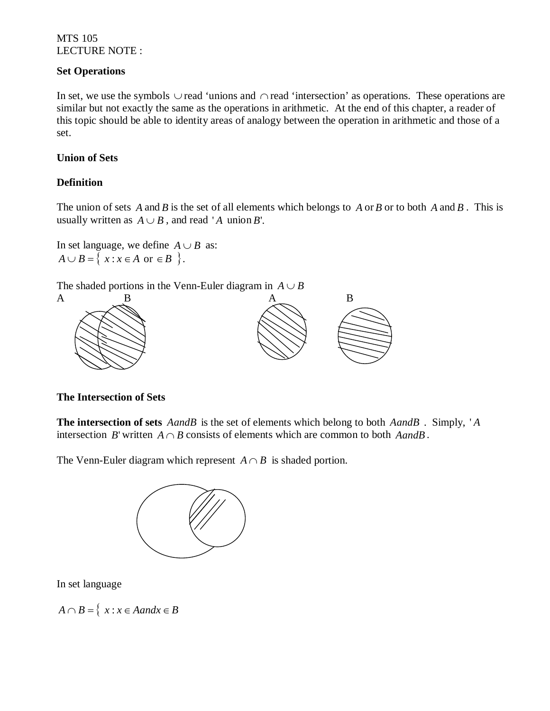## **Set Operations**

In set, we use the symbols  $\cup$  read 'unions and  $\cap$  read 'intersection' as operations. These operations are similar but not exactly the same as the operations in arithmetic. At the end of this chapter, a reader of this topic should be able to identity areas of analogy between the operation in arithmetic and those of a set.

## **Union of Sets**

## **Definition**

The union of sets *A* and *B* is the set of all elements which belongs to *A* or*B* or to both *A* and *B* . This is usually written as  $A \cup B$ , and read 'A union B'.

In set language, we define  $A \cup B$  as:  $A \cup B = \{ x : x \in A \text{ or } \in B \}$ .

The shaded portions in the Venn-Euler diagram in  $A \cup B$ 



## **The Intersection of Sets**

**The intersection of sets** *AandB* is the set of elements which belong to both *AandB* . Simply, ' *A* intersection *B*' written  $A \cap B$  consists of elements which are common to both *AandB*.

The Venn-Euler diagram which represent  $A \cap B$  is shaded portion.



In set language

 $A \cap B = \{ x : x \in A$  and  $x \in B$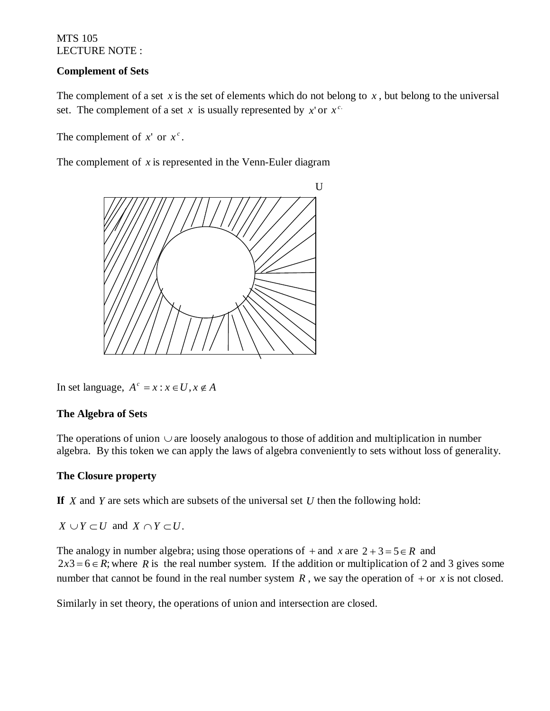## **Complement of Sets**

The complement of a set *x* is the set of elements which do not belong to *x*, but belong to the universal set. The complement of a set *x* is usually represented by *x*' or  $x^c$ .

The complement of  $x'$  or  $x^c$ .

The complement of *x* is represented in the Venn-Euler diagram



In set language,  $A^c = x : x \in U, x \notin A$ 

#### **The Algebra of Sets**

The operations of union  $\cup$  are loosely analogous to those of addition and multiplication in number algebra. By this token we can apply the laws of algebra conveniently to sets without loss of generality.

#### **The Closure property**

**If** *X* and *Y* are sets which are subsets of the universal set *U* then the following hold:

 $X \cup Y \subset U$  and  $X \cap Y \subset U$ .

The analogy in number algebra; using those operations of  $x$  and  $x$  are  $2 + 3 = 5 \in R$  and  $2x3 = 6 \in R$ ; where *R* is the real number system. If the addition or multiplication of 2 and 3 gives some number that cannot be found in the real number system  $R$ , we say the operation of  $+$  or  $x$  is not closed.

Similarly in set theory, the operations of union and intersection are closed.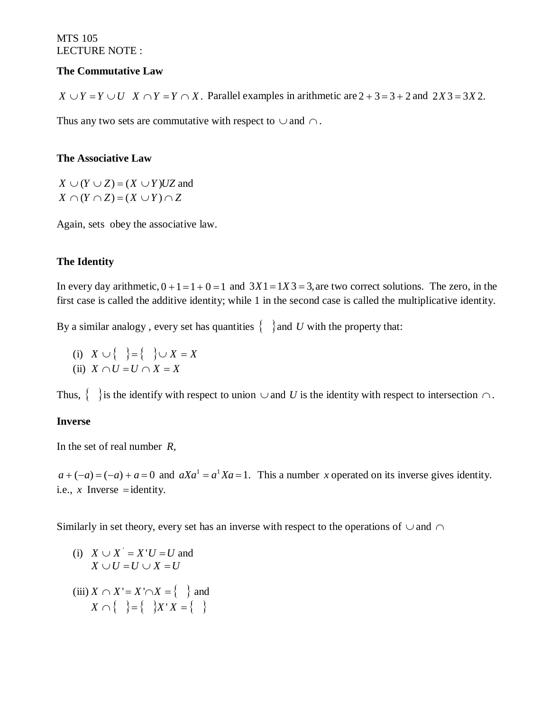## **The Commutative Law**

 $X \cup Y = Y \cup U$  *X*  $\cap Y = Y \cap X$ . Parallel examples in arithmetic are  $2 + 3 = 3 + 2$  and  $2X3 = 3X2$ .

Thus any two sets are commutative with respect to  $\cup$  and  $\cap$ .

## **The Associative Law**

 $X \cup (Y \cup Z) = (X \cup Y)UZ$  and  $X \cap (Y \cap Z) = (X \cup Y) \cap Z$ 

Again, sets obey the associative law.

# **The Identity**

In every day arithmetic,  $0 + 1 = 1 + 0 = 1$  and  $3X1 = 1X3 = 3$ , are two correct solutions. The zero, in the first case is called the additive identity; while 1 in the second case is called the multiplicative identity.

By a similar analogy, every set has quantities  $\{\}\$  and *U* with the property that:

(i)  $X \cup \{\}\} = \{\}\cup X = X$ (ii)  $X \cap U = U \cap X = X$ 

Thus,  $\{\}\$ is the identify with respect to union  $\cup$  and *U* is the identity with respect to intersection  $\cap$ .

## **Inverse**

In the set of real number *R*,

 $a + (-a) = (-a) + a = 0$  and  $aXa^1 = a^1Xa = 1$ . This a number *x* operated on its inverse gives identity. i.e.,  $x$  Inverse = identity.

Similarly in set theory, every set has an inverse with respect to the operations of  $\cup$  and  $\cap$ 

(i) 
$$
X \cup X' = X'U = U
$$
 and  
\n $X \cup U = U \cup X = U$   
\n(iii)  $X \cap X' = X' \cap X = \{\}$  and  
\n $X \cap \{\}$   $\} = \{\}$   $\{X'X = \{\}$